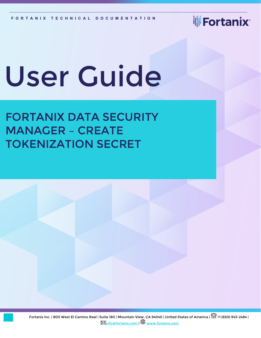**iji** Fortanix<sup>®</sup>

# User Guide

# FORTANIX DATA SECURITY MANAGER – CREATE TOKENIZATION SECRET

Fortanix Inc. | 800 West El Camino Real | Suite 180 | Mountain View, CA 94040 | United States of America |  $\widehat{\boxplus}$  +1 (650) 943-2484 |  $\boxtimes$ [info@fortanix.com](mailto:info@fortanix.com) |  $\bigoplus$  [www.fortanix.com](http://www.fortanix.com/)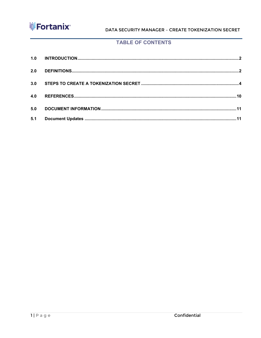

DATA SECURITY MANAGER - CREATE TOKENIZATION SECRET

#### **TABLE OF CONTENTS**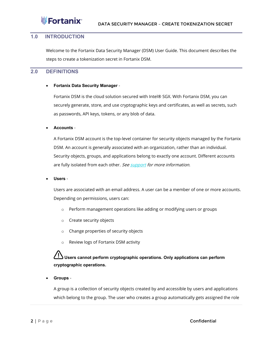

#### <span id="page-2-0"></span>**1.0 INTRODUCTION**

Welcome to the Fortanix Data Security Manager (DSM) User Guide. This document describes the steps to create a tokenization secret in Fortanix DSM.

#### <span id="page-2-1"></span>**2.0 DEFINITIONS**

#### • **Fortanix Data Security Manager** -

Fortanix DSM is the cloud solution secured with Intel® SGX. With Fortanix DSM, you can securely generate, store, and use cryptographic keys and certificates, as well as secrets, such as passwords, API keys, tokens, or any blob of data.

#### • **Accounts** -

A Fortanix DSM account is the top-level container for security objects managed by the Fortanix DSM. An account is generally associated with an organization, rather than an individual. Security objects, groups, and applications belong to exactly one account. Different accounts are fully isolated from each other. Se[e support](https://support.fortanix.com/hc/en-us/articles/360016160251-Concepts) for more information.

#### • **Users** -

Users are associated with an email address. A user can be a member of one or more accounts. Depending on permissions, users can:

- o Perform management operations like adding or modifying users or groups
- o Create security objects
- o Change properties of security objects
- o Review logs of Fortanix DSM activity

#### **Users cannot perform cryptographic operations. Only applications can perform cryptographic operations.**

• **Groups** -

A group is a collection of security objects created by and accessible by users and applications which belong to the group. The user who creates a group automatically gets assigned the role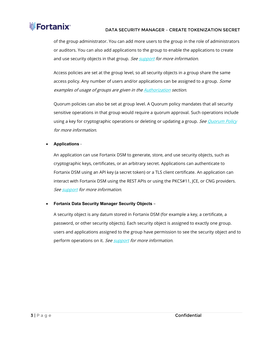#### **iii** Fortanix® DATA SECURITY MANAGER – CREATE TOKENIZATION SECRET

of the group administrator. You can add more users to the group in the role of administrators or auditors. You can also add applications to the group to enable the applications to create and use security objects in that group. Se[e support](https://support.fortanix.com/hc/en-us/articles/360016160251-Concepts) for more information.

Access policies are set at the group level, so all security objects in a group share the same access policy. Any number of users and/or applications can be assigned to a group. Some examples of usage of groups are given in the **Authorization** section.

Quorum policies can also be set at group level. A Quorum policy mandates that all security sensitive operations in that group would require a quorum approval. Such operations include using a key for cryptographic operations or deleting or updating a group. See Quorum Policy for more information.

#### • **Applications** -

An application can use Fortanix DSM to generate, store, and use security objects, such as cryptographic keys, certificates, or an arbitrary secret. Applications can authenticate to Fortanix DSM using an API key (a secret token) or a TLS client certificate. An application can interact with Fortanix DSM using the REST APIs or using the PKCS#11, JCE, or CNG providers. Se[e support](https://support.fortanix.com/hc/en-us/articles/360016160251-Concepts) for more information.

#### • **Fortanix Data Security Manager Security Objects** –

A security object is any datum stored in Fortanix DSM (for example a key, a certificate, a password, or other security objects). Each security object is assigned to exactly one group. users and applications assigned to the group have permission to see the security object and to perform operations on it. Se[e support](https://support.fortanix.com/hc/en-us/articles/360016160251-Concepts) for more information.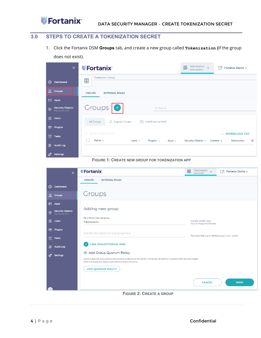#### <span id="page-4-0"></span>**3.0 STEPS TO CREATE A TOKENIZATION SECRET**

1. Click the Fortanix DSM **Groups** tab, and create a new group called **Tokenization (**if the group does not exist).

|                | $\times$                                        | <b>WED</b> Fortanix®                                                                                            | Tokenization<br>$\mathbf{P}$<br>$\ddot{\phantom{1}}$<br>Administrator | ◫<br>Fortanix Demo v                                                        |
|----------------|-------------------------------------------------|-----------------------------------------------------------------------------------------------------------------|-----------------------------------------------------------------------|-----------------------------------------------------------------------------|
| $\circledcirc$ | Dashboard                                       | <b>Tokenization / Groups</b><br>粵                                                                               |                                                                       |                                                                             |
| 品              | <b>Croups</b>                                   | <b>EXTERNAL ROLES</b><br><b>CROUPS</b>                                                                          |                                                                       |                                                                             |
| 圐              | Apps                                            |                                                                                                                 |                                                                       |                                                                             |
| ତି             | <b>Security Objects</b><br>Keys, Secrets, Certs | Groups <sup>O</sup><br>Q Search                                                                                 |                                                                       |                                                                             |
| $\circledR$    | <b>Users</b>                                    | <b>孟 Regular Groups</b><br><b>HSM/External KMS</b><br>$\sqrt{2}$<br>All Groups                                  |                                                                       |                                                                             |
| ়®             | <b>Plugins</b>                                  |                                                                                                                 |                                                                       |                                                                             |
| $\mathfrak{D}$ | <b>Tasks</b>                                    | <b>DELETE SELECTED</b><br>面<br>Name $\triangle$<br>Users $\triangle$<br>Plugins $\triangle$<br>Apps $\triangle$ | Security Objects ▲                                                    | <b>DOWNLOAD CSV</b><br>支<br>හි<br>Created $\triangle$<br><b>Description</b> |
| 縣              | <b>Audit Log</b>                                |                                                                                                                 |                                                                       |                                                                             |
| ි ග            | <b>Settings</b>                                 |                                                                                                                 |                                                                       |                                                                             |



| $\overline{\mathsf{x}}$                               | <b>WFortanix®</b>                                                                                                                                                 | Tokenization<br>凰<br>$\ddot{\phantom{1}}$<br>Administrator | ┌┲<br>Fortanix Demo v |
|-------------------------------------------------------|-------------------------------------------------------------------------------------------------------------------------------------------------------------------|------------------------------------------------------------|-----------------------|
|                                                       | <b>GROUPS</b><br><b>EXTERNAL ROLES</b>                                                                                                                            |                                                            |                       |
| $\circledcirc$<br>Dashboard                           |                                                                                                                                                                   |                                                            |                       |
| 品<br><b>Croups</b>                                    | Groups                                                                                                                                                            |                                                            |                       |
| 圐<br>Apps                                             |                                                                                                                                                                   |                                                            |                       |
| <b>Security Objects</b><br>S.<br>Keys, Secrets, Certs | Adding new group                                                                                                                                                  |                                                            |                       |
| $^{\circledR}$<br><b>Users</b>                        | Set a title for your new group<br>Tokenization                                                                                                                    | Example: SDKMS Team<br>You can change the title later      |                       |
| <b>Plugins</b><br>է                                   | Add the description for your group here                                                                                                                           | This would help you to identify groups in your system.     |                       |
| $\mathfrak{D}$<br><b>Tasks</b>                        |                                                                                                                                                                   |                                                            |                       |
| <b>Audit Log</b><br>厵                                 | <b>LINK HSM/EXTERNAL KMS</b><br>$\ddot{}$                                                                                                                         |                                                            |                       |
| ෯<br><b>Settings</b>                                  | & Add Group Quorum Policy<br>Quorum approval policy adds an extra level of protection to all objects in the group. All sensitive operations with keys and plugins |                                                            |                       |
|                                                       | within the group will require approval according to the policy.                                                                                                   |                                                            |                       |
|                                                       | <b>ADD QUORUM POLICY</b>                                                                                                                                          |                                                            |                       |
|                                                       |                                                                                                                                                                   | <b>CANCEL</b>                                              | <b>SAVE</b>           |
|                                                       | <b>FIGURE 2: CREATE A GROUP</b>                                                                                                                                   |                                                            |                       |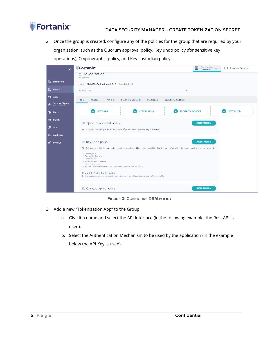### **iii Fortanix**®

2. Once the group is created, configure any of the policies for the group that are required by your organization, such as the Quorum approval policy, Key undo policy (for sensitive key operations), Cryptographic policy, and Key custodian policy.

| $\times$                                             | <b>WFortanix</b><br>Tokenization $\sqrt{}$<br>團<br>П۹<br>Fortanix Demo $\sim$<br>Administrator                                                    |
|------------------------------------------------------|---------------------------------------------------------------------------------------------------------------------------------------------------|
|                                                      | Tokenization<br>品<br>(No description)                                                                                                             |
| $\circledcirc$<br><b>Dashboard</b>                   | UUID: 91cb99fa-8e5f-44b4-88f6-c8b11aacde06 (                                                                                                      |
| 品 Croups                                             | Activity chart<br>$\checkmark$                                                                                                                    |
| 园 Apps                                               | <b>INFO</b><br>USERS (1)<br>APPS (0)<br><b>SECURITY OBJECTS</b><br>PLUGINS (0)<br><b>EXTERNAL ROLES (0)</b>                                       |
| <b>Security Objects</b><br>6<br>Keys, Secrets, Certs |                                                                                                                                                   |
| ®<br><b>Users</b>                                    | <b>NEW PLUGIN</b><br><b>SECURITY OBJECT</b><br><b>NEW APP</b><br><b>NEW USER</b><br>$+$                                                           |
| <b>S</b> Plugins                                     | <b>ADD POLICY</b><br>28. Quorum approval policy                                                                                                   |
| ₩<br><b>Tasks</b>                                    | Quorum approval policy adds an extra level of protection to sensitive key operations.                                                             |
| 蜃<br><b>Audit Log</b>                                |                                                                                                                                                   |
| ణి<br>Settings                                       | ◎ Key undo policy<br><b>ADD POLICY</b>                                                                                                            |
|                                                      | The following sensitive key operations can be reversible until a certain period fixed by the user, after which the changes will become permanent. |
|                                                      | • Change group<br>· Destroy Key, Delete key                                                                                                       |
|                                                      | · Deactivate Key<br>· Mark a key as compromised<br>• Remove private key                                                                           |
|                                                      | . Remove sensitive key operations such as encrypt, decrypt, sign, verify etc.                                                                     |
|                                                      | Reversible Period Configuration<br>During this period, one or more sensitive action taken on a key will be active, however, will be reversible    |
|                                                      |                                                                                                                                                   |
|                                                      | {?} Cryptographic policy<br><b>ADD POLICY</b>                                                                                                     |

**FIGURE 3: CONFIGURE DSM POLICY**

- 3. Add a new "Tokenization App" to the Group.
	- a. Give it a name and select the API Interface (in the following example, the Rest API is used).
	- b. Select the Authentication Mechanism to be used by the application (in the example below the API Key is used).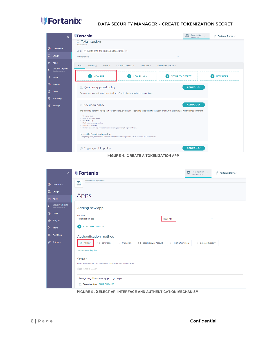

## THE **Fortanix** DATA SECURITY MANAGER - CREATE TOKENIZATION SECRET

| $\times$                                             | <b>WFortanix</b><br>Tokenization v<br>凰<br>Г۴<br>Fortanix Demo v<br>Administrator                                                                 |
|------------------------------------------------------|---------------------------------------------------------------------------------------------------------------------------------------------------|
|                                                      | Tokenization<br>品<br>(No description)                                                                                                             |
| $\circledcirc$<br>Dashboard                          | UUID: 91cb99fa-8e5f-44b4-88f6-c8b11aacde06 D                                                                                                      |
| 品 Croups                                             | Activity chart<br>$\checkmark$                                                                                                                    |
| <b>园</b> Apps                                        | <b>INFO</b><br><b>USERS</b> $(1)$<br>APPS (0)<br><b>SECURITY OBJECTS</b><br>PLUGINS (0)<br><b>EXTERNAL ROLES (0)</b>                              |
| <b>Security Objects</b><br>₩<br>Keys, Secrets, Certs |                                                                                                                                                   |
| <b>@</b> Users                                       | <b>SECURITY OBJECT</b><br><b>NEW APP</b><br><b>NEW PLUGIN</b><br><b>NEW USER</b>                                                                  |
| ⊛<br>Plugins                                         | 28. Quorum approval policy<br><b>ADD POLICY</b>                                                                                                   |
| ₩<br><b>Tasks</b>                                    | Quorum approval policy adds an extra level of protection to sensitive key operations.                                                             |
| 縣<br><b>Audit Log</b>                                |                                                                                                                                                   |
| ౙి<br>Settings                                       | ◎ Key undo policy<br><b>ADD POLICY</b>                                                                                                            |
|                                                      | The following sensitive key operations can be reversible until a certain period fixed by the user, after which the changes will become permanent. |
|                                                      | • Change group<br>· Destroy Key, Delete key                                                                                                       |
|                                                      | · Deactivate Key<br>· Mark a key as compromised<br>· Remove private key                                                                           |
|                                                      | . Remove sensitive key operations such as encrypt, decrypt, sign, verify etc.                                                                     |
|                                                      | Reversible Period Configuration<br>During this period, one or more sensitive action taken on a key will be active, however, will be reversible    |
|                                                      |                                                                                                                                                   |
|                                                      | { } Cryptographic policy<br><b>ADD POLICY</b>                                                                                                     |

**FIGURE 4: CREATE A TOKENIZATION APP**

| $\times$                                             | <b>WFortanix®</b><br>$\begin{array}{rcl} \text{Tokenization} & \quad \textcolor{red}{\bigtriangledown} \\ \textit{Administrator} & \quad \textcolor{red}{\bigtriangledown} \end{array}$<br>粵<br>$\Box$ <sup>q</sup><br>Fortanix Demo ~                                |
|------------------------------------------------------|-----------------------------------------------------------------------------------------------------------------------------------------------------------------------------------------------------------------------------------------------------------------------|
| ◎<br>Dashboard                                       | Tokenization / Apps / New<br>粵                                                                                                                                                                                                                                        |
| 品<br><b>Croups</b>                                   | Apps                                                                                                                                                                                                                                                                  |
| 园 Apps                                               |                                                                                                                                                                                                                                                                       |
| <b>Security Objects</b><br>参<br>Keys, Secrets, Certs | Adding new app                                                                                                                                                                                                                                                        |
| <b>@</b> Users                                       | App name                                                                                                                                                                                                                                                              |
| <b>D</b> Plugins                                     | <b>REST API</b><br><b>Tokenization app</b><br>$\checkmark$                                                                                                                                                                                                            |
| <b>Q</b> Tasks                                       | <b>ADD DESCRIPTION</b><br>$\checkmark$                                                                                                                                                                                                                                |
| <b>图 Audit Log</b>                                   | Authentication method                                                                                                                                                                                                                                                 |
| ోల<br>Settings                                       | API Key<br>$\bigcirc$ Certificate<br>$\bigcirc$ Trusted CA<br>○ Google Service Account<br>○ JSON Web Token<br>◯ External Directory<br>Set app secret key size<br>OAuth<br>Using OAuth users can authorize this app to perform actions on their behalf<br>Enable OAuth |
|                                                      | Assigning the new app to groups<br>品 Tokenization EDIT GROUPS                                                                                                                                                                                                         |

**FIGURE 5: SELECT API INTERFACE AND AUTHENTICATION MECHANISM**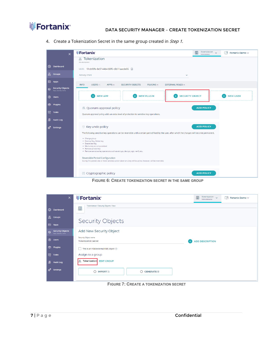

#### DATA SECURITY MANAGER – CREATE TOKENIZATION SECRET

4. Create a Tokenization Secret in the same group created in Step 1.



**FIGURE 6: CREATE TOKENIZATION SECRET IN THE SAME GROUP**

| $\times$                                             | <b>WFortanix</b>                                          | 凰<br>Tokenization v<br>Administrator | Г۳<br>Fortanix Demo ~ |
|------------------------------------------------------|-----------------------------------------------------------|--------------------------------------|-----------------------|
| $\circledcirc$<br><b>Dashboard</b>                   | Tokenization / Security Objects / New<br>凰                |                                      |                       |
| 品<br><b>Croups</b><br>园 Apps                         | <b>Security Objects</b>                                   |                                      |                       |
| <b>Security Objects</b><br>Ş<br>Keys, Secrets, Certs | Add New Security Object                                   |                                      |                       |
| <b>2</b> Users                                       | Security Object name<br><b>Tokenization secret</b>        | <b>ADD DESCRIPTION</b>               |                       |
| ু<br>Plugins                                         | This is an HSM/external KMS object ②                      |                                      |                       |
| ₩<br><b>Tasks</b>                                    | Assign to a group                                         |                                      |                       |
| 野<br><b>Audit Log</b>                                | 黒<br><b>Tokenization</b><br><b>EDIT GROUP</b>             |                                      |                       |
| ල Settings                                           | $\bigcirc$<br><b>IMPORT</b> [5]<br>$\bigcirc$<br>GENERATE |                                      |                       |

**FIGURE 7: CREATE A TOKENIZATION SECRET**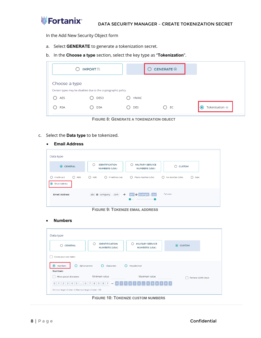

In the Add New Security Object form

- a. Select **GENERATE** to generate a tokenization secret.
- b. In the **Choose a type** section, select the key type as "**Tokenization**".

|               | <b>IMPORT</b> [5]                                              |            | <b>GENERATE <math>\odot</math></b> |                           |
|---------------|----------------------------------------------------------------|------------|------------------------------------|---------------------------|
| Choose a type | Certain types may be disabled due to the cryptographic policy. |            |                                    |                           |
| AES           | DES3                                                           | HMAC       |                                    |                           |
| <b>RSA</b>    | <b>DSA</b>                                                     | <b>DES</b> | O EC                               | Tokenization <sup>@</sup> |

**FIGURE 8: GENERATE A TOKENIZATION OBJECT**

- c. Select the **Data type** to be tokenized.
	- **Email Address**

| <b>IDENTIFICATION</b><br>$\left( \quad \right)$<br><b>NUMBERS (USA)</b> | <b>MILITARY SERVICE</b><br>С<br><b>NUMBERS (USA)</b> | ∩<br><b>CUSTOM</b>                       |
|-------------------------------------------------------------------------|------------------------------------------------------|------------------------------------------|
| $\bigcirc$ IMEI<br>∩<br>IP Address (v4)                                 | Phone Number (USA)<br>∩                              | Fax Number (USA)<br>∩<br>$\bigcirc$ Date |
| $\rightarrow$<br>abc $\otimes$ company . com                            | <b>@</b> example . xyz<br>def                        | Full token                               |
|                                                                         |                                                      |                                          |

**FIGURE 9: TOKENIZE EMAIL ADDRESS**

• **Numbers**

| Data type                                                                                  |                                                      |                                                 |                          |  |  |  |
|--------------------------------------------------------------------------------------------|------------------------------------------------------|-------------------------------------------------|--------------------------|--|--|--|
| <b>GENERAL</b>                                                                             | <b>IDENTIFICATION</b><br>( )<br><b>NUMBERS (USA)</b> | <b>MILITARY SERVICE</b><br><b>NUMBERS (USA)</b> | <b>CUSTOM</b><br>$\odot$ |  |  |  |
| Create your own token                                                                      |                                                      |                                                 |                          |  |  |  |
| ∩<br>O<br>◉<br>Alphanumeric<br>Hexadecimal<br>Numbers<br>Characters<br>◯<br><b>Numbers</b> |                                                      |                                                 |                          |  |  |  |
| Minimum value<br>Maximum value<br>Allow special characters<br>Perform LUHN check           |                                                      |                                                 |                          |  |  |  |
| 0 1 2 3 4 5 $\therefore$ 6 7 8 9 0 1 - 0 1 7 5 1 2 $\therefore$ 1 6 6 1 8 1                |                                                      |                                                 |                          |  |  |  |
| Minimum length of token - 6, Maximum length of token - 100                                 |                                                      |                                                 |                          |  |  |  |

**FIGURE 10: TOKENIZE CUSTOM NUMBERS**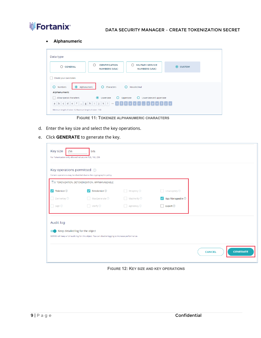

• **Alphanumeric**

| Data type                                                                                                                                           |                                                            |  |  |  |  |  |
|-----------------------------------------------------------------------------------------------------------------------------------------------------|------------------------------------------------------------|--|--|--|--|--|
| ⌒<br><b>MILITARY SERVICE</b><br><b>IDENTIFICATION</b><br><b>CUSTOM</b><br><b>GENERAL</b><br>$\odot$<br><b>NUMBERS (USA)</b><br><b>NUMBERS (USA)</b> |                                                            |  |  |  |  |  |
| Create your own token                                                                                                                               |                                                            |  |  |  |  |  |
| Hexadecimal<br>Alphanumeric<br>∩<br>Characters<br>Numbers<br>O<br>O                                                                                 |                                                            |  |  |  |  |  |
| Alphanumeric                                                                                                                                        |                                                            |  |  |  |  |  |
| Allow special characters<br>$\odot$<br>O<br>Lowercase and uppercase<br>Lowercase<br>Uppercase<br>O                                                  |                                                            |  |  |  |  |  |
| a b c d e f $\ldots$ g h i j k 1 $\rightarrow$ 5 5 5 s c r $\ldots$ s p e 3 j c                                                                     |                                                            |  |  |  |  |  |
|                                                                                                                                                     | Minimum length of token - 6, Maximum length of token - 100 |  |  |  |  |  |

**FIGURE 11: TOKENIZE ALPHANUMERIC CHARACTERS**

- d. Enter the key size and select the key operations.
- e. Click **GENERATE** to generate the key.

| Key size<br>256<br>For Tokenization only allowed values are 128, 192, 256 | bits                                                                                               |                               |                            |                                  |
|---------------------------------------------------------------------------|----------------------------------------------------------------------------------------------------|-------------------------------|----------------------------|----------------------------------|
| Key operations permitted 2                                                | Certain operations may be disabled due to the cryptographic policy.                                |                               |                            |                                  |
|                                                                           | TOKENIZATION, DETOKENIZATION, APPMANAGEABLE                                                        |                               |                            |                                  |
| $\blacktriangleright$ Tokenize $\oslash$                                  | Detokenize <sup>7</sup><br>$\checkmark$                                                            | $\Box$ WrapKey $\circledcirc$ | $\Box$ UnwrapKey $\oslash$ |                                  |
| DeriveKey 2                                                               | MacGenerate ②                                                                                      | MacVerify <sup>2</sup>        | App Manageable 2           |                                  |
| Sign ②                                                                    | $\Box$ Verify $\circledcirc$                                                                       | AgreeKey <sup>?</sup>         | Export <sup>2</sup>        |                                  |
| Audit log                                                                 |                                                                                                    |                               |                            |                                  |
| Keep detailed log for the object                                          | SDKMS will keep a full audit log for this object. You can disable logging to increase performance. |                               |                            |                                  |
|                                                                           |                                                                                                    |                               |                            |                                  |
|                                                                           |                                                                                                    |                               |                            | <b>CENERATE</b><br><b>CANCEL</b> |

**FIGURE 12: KEY SIZE AND KEY OPERATIONS**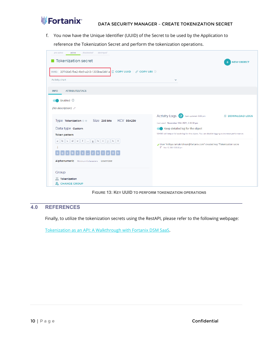

f. You now have the Unique Identifier (UUID) of the Secret to be used by the Application to

reference the Tokenization Secret and perform the tokenization operations.

| destroyed<br>deactivated<br>pre-active<br>active                                                                                                                                        |                                                                                                       |                               |
|-----------------------------------------------------------------------------------------------------------------------------------------------------------------------------------------|-------------------------------------------------------------------------------------------------------|-------------------------------|
| <b>Tokenization secret</b>                                                                                                                                                              |                                                                                                       | <b>NEW OBJECT</b>             |
| UUID: 33f166e5-fbe2-4bc9-a243-1305bea5dd1a D COPY UUID $\mathscr P$ COPY URI 2<br>Activity chart<br>$\checkmark$                                                                        |                                                                                                       |                               |
| <b>ATTRIBUTES/TACS</b><br><b>INFO</b>                                                                                                                                                   |                                                                                                       |                               |
| Enabled <sup>7</sup><br>(No description) 0                                                                                                                                              |                                                                                                       |                               |
| Size 256 bits<br><b>KCV 86A280</b><br>Type Tokenization $\odot$ $\circ$                                                                                                                 | Activity Logs <sup>C</sup><br>Last updated: 3:32 pm<br>Last used: November 12th 2021, 3:30:32 pm      | <b><i>图</i></b> DOWNLOAD LOGS |
| Data type custom                                                                                                                                                                        | Keep detailed log for the object                                                                      |                               |
| <b>Token pattern</b>                                                                                                                                                                    | SDKMS will keep a full audit log for this object. You can disable logging to increase performance.    |                               |
| $\begin{bmatrix} \mathbf{b} & \mathbf{c} & \mathbf{d} & \mathbf{e} & \mathbf{f} & \dots & \mathbf{g} & \mathbf{h} & \mathbf{i} & \mathbf{j} & \mathbf{k} \end{bmatrix}$<br>$\mathsf{a}$ | User "nithya.ramakrishnan@fortanix.com" created key "Tokenization secre<br>t" Nov 12, 2021 3:30:32 pm |                               |
| Alphanumeric Minimum 6 characters Lowercase                                                                                                                                             |                                                                                                       |                               |
| Group                                                                                                                                                                                   |                                                                                                       |                               |
| 凩<br>Tokenization<br>晸<br><b>CHANGE GROUP</b>                                                                                                                                           |                                                                                                       |                               |



#### <span id="page-10-0"></span>**4.0 REFERENCES**

Finally, to utilize the tokenization secrets using the RestAPI, please refer to the following webpage:

[Tokenization as an API: A Walkthrough with Fortanix DSM SaaS.](https://www.fortanix.com/blog/2021/11/tokenization-as-an-api-a-walkthrough-with-fortanix-dsm-saas/)